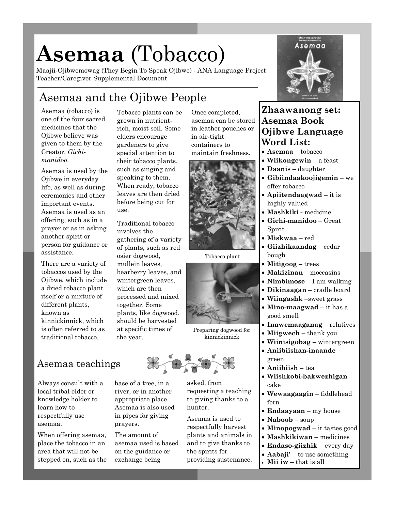# **Asemaa** (Tobacco)

Maajii-Ojibwemowag (They Begin To Speak Ojibwe) - ANA Language Project Teacher/Caregiver Supplemental Document

## Asemaa and the Ojibwe People

Asemaa (tobacco) is one of the four sacred medicines that the Ojibwe believe was given to them by the Creator, *Gichimanidoo*.

Asemaa is used by the Ojibwe in everyday life, as well as during ceremonies and other important events. Asemaa is used as an offering, such as in a prayer or as in asking another spirit or person for guidance or assistance.

There are a variety of tobaccos used by the Ojibwe, which include a dried tobacco plant itself or a mixture of different plants, known as kinnickinnick, which is often referred to as traditional tobacco.

Tobacco plants can be grown in nutrientrich, moist soil. Some elders encourage gardeners to give special attention to their tobacco plants, such as singing and speaking to them. When ready, tobacco leaves are then dried before being cut for use.

Traditional tobacco involves the gathering of a variety of plants, such as red osier dogwood, mullein leaves, bearberry leaves, and wintergreen leaves, which are then processed and mixed together. Some plants, like dogwood, should be harvested at specific times of

# the year.

### Asemaa teachings

Always consult with a local tribal elder or knowledge holder to learn how to respectfully use asemaa.

When offering asemaa, place the tobacco in an area that will not be stepped on, such as the base of a tree, in a river, or in another appropriate place. Asemaa is also used in pipes for giving prayers.

The amount of asemaa used is based on the guidance or exchange being

Once completed, asemaa can be stored in leather pouches or in air-tight containers to maintain freshness.



Tobacco plant



Preparing dogwood for kinnickinnick



asked, from requesting a teaching to giving thanks to a hunter.

Asemaa is used to respectfully harvest plants and animals in and to give thanks to the spirits for providing sustenance.



#### **Zhaawanong set: Asemaa Book Ojibwe Language Word List:**

- **Asemaa**  tobacco
- **Wiikongewin**  a feast
- **Daanis**  daughter
- **Gibiindaakoojigemin**  we offer tobacco
- **Apiitendaagwad**  it is highly valued
- **Mashkiki -** medicine
- **Gichi-manidoo** Great Spirit
- **Miskwaa**  red
- **Giizhikaandag**  cedar bough
- **Mitigoog**  trees
- **Makizinan**  moccasins
- **Nimbimose**  I am walking
- **Dikinaagan**  cradle board
- **Wiingashk** –sweet grass
- **Mino-maagwad**  it has a good smell
- **Inawemaaganag**  relatives
- **Miigwech**  thank you
- **Wiinisigobag**  wintergreen
- **Aniibiishan-inaande**  green
- **Aniibiish**  tea
- **Wiishkobi-bakwezhigan**  cake
- **Wewaagaagin**  fiddlehead fern
- **Endaayaan**  my house
- **Naboob**  soup
- **Minopogwad**  it tastes good
- **Mashkikiwan**  medicines
- **Endaso-giizhik**  every day
- **Aabaji'**  to use something
- **Mii iw**  that is all